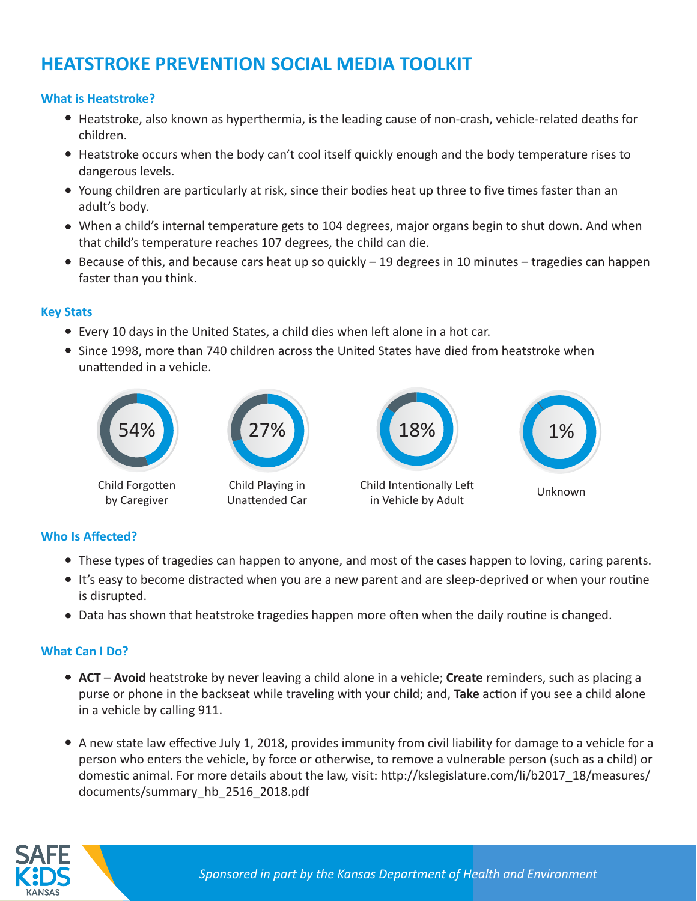# **HEATSTROKE PREVENTION SOCIAL MEDIA TOOLKIT**

## **What is Heatstroke?**

- Heatstroke, also known as hyperthermia, is the leading cause of non-crash, vehicle-related deaths for children.
- Heatstroke occurs when the body can't cool itself quickly enough and the body temperature rises to dangerous levels.
- Young children are particularly at risk, since their bodies heat up three to five times faster than an adult's body.
- When a child's internal temperature gets to 104 degrees, major organs begin to shut down. And when that child's temperature reaches 107 degrees, the child can die.
- Because of this, and because cars heat up so quickly 19 degrees in 10 minutes tragedies can happen faster than you think.

## **Key Stats**

- Every 10 days in the United States, a child dies when left alone in a hot car.
- Since 1998, more than 740 children across the United States have died from heatstroke when unattended in a vehicle.



# **Who Is Affected?**

- These types of tragedies can happen to anyone, and most of the cases happen to loving, caring parents.
- It's easy to become distracted when you are a new parent and are sleep-deprived or when your routine is disrupted.
- Data has shown that heatstroke tragedies happen more often when the daily routine is changed.

# **What Can I Do?**

- **ACT Avoid** heatstroke by never leaving a child alone in a vehicle; **Create** reminders, such as placing a purse or phone in the backseat while traveling with your child; and, **Take** action if you see a child alone in a vehicle by calling 911.
- A new state law effective July 1, 2018, provides immunity from civil liability for damage to a vehicle for a person who enters the vehicle, by force or otherwise, to remove a vulnerable person (such as a child) or domestic animal. For more details about the law, visit: http://kslegislature.com/li/b2017\_18/measures/ documents/summary\_hb\_2516\_2018.pdf